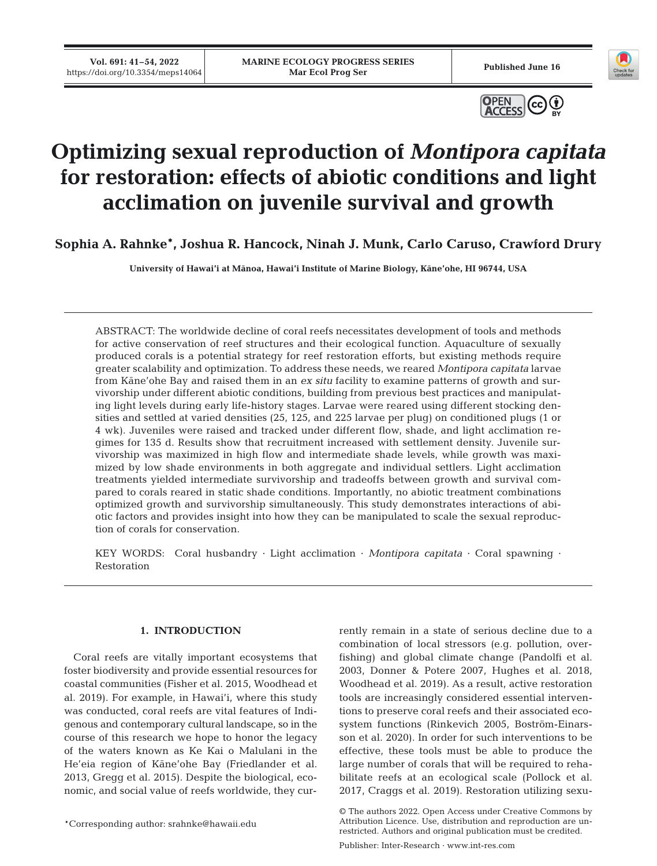**Vol. 691: 41–54, 2022** 





# **Optimizing sexual reproduction of** *Montipora capitata* **for restoration: effects of abiotic conditions and light acclimation on juvenile survival and growth**

**Sophia A. Rahnke\*, Joshua R. Hancock, Ninah J. Munk, Carlo Caruso, Crawford Drury** 

**University of Hawai'i at Mānoa, Hawai'i Institute of Marine Biology, Kāne'ohe, HI 96744, USA**

ABSTRACT: The worldwide decline of coral reefs necessitates development of tools and methods for active conservation of reef structures and their ecological function. Aquaculture of sexually produced corals is a potential strategy for reef restoration efforts, but existing methods require greater scalability and optimization. To address these needs, we reared *Montipora capitata* larvae from Kāne'ohe Bay and raised them in an *ex situ* facility to examine patterns of growth and survivorship under different abiotic conditions, building from previous best practices and manipulating light levels during early life-history stages. Larvae were reared using different stocking densities and settled at varied densities (25, 125, and 225 larvae per plug) on conditioned plugs (1 or 4 wk). Juveniles were raised and tracked under different flow, shade, and light acclimation re gimes for 135 d. Results show that recruitment increased with settlement density. Juvenile survivorship was maximized in high flow and intermediate shade levels, while growth was maximized by low shade environments in both aggregate and individual settlers. Light acclimation treatments yielded intermediate survivorship and tradeoffs between growth and survival compared to corals reared in static shade conditions. Importantly, no abiotic treatment combinations optimized growth and survivorship simultaneously. This study demonstrates interactions of abiotic factors and provides insight into how they can be manipulated to scale the sexual reproduction of corals for conservation.

KEY WORDS: Coral husbandry · Light acclimation · *Montipora capitata* · Coral spawning · Restoration

# **1. INTRODUCTION**

Coral reefs are vitally important ecosystems that foster biodiversity and provide essential resources for coastal communities (Fisher et al. 2015, Woodhead et al. 2019). For example, in Hawai'i, where this study was conducted, coral reefs are vital features of Indigenous and contemporary cultural landscape, so in the course of this research we hope to honor the legacy of the waters known as Ke Kai o Malulani in the He'eia region of Kāne'ohe Bay (Friedlander et al. 2013, Gregg et al. 2015). Despite the biological, economic, and social value of reefs worldwide, they cur-

\*Corresponding author: srahnke@hawaii.edu

rently remain in a state of serious decline due to a combination of local stressors (e.g. pollution, overfishing) and global climate change (Pandolfi et al. 2003, Donner & Potere 2007, Hughes et al. 2018, Woodhead et al. 2019). As a result, active restoration tools are increasingly considered essential interventions to preserve coral reefs and their associated ecosystem functions (Rinkevich 2005, Boström-Einarsson et al. 2020). In order for such interventions to be effective, these tools must be able to produce the large number of corals that will be required to rehabilitate reefs at an ecological scale (Pollock et al. 2017, Craggs et al. 2019). Restoration utilizing sexu-

Publisher: Inter-Research · www.int-res.com

<sup>©</sup> The authors 2022. Open Access under Creative Commons by Attribution Licence. Use, distribution and reproduction are unrestricted. Authors and original publication must be credited.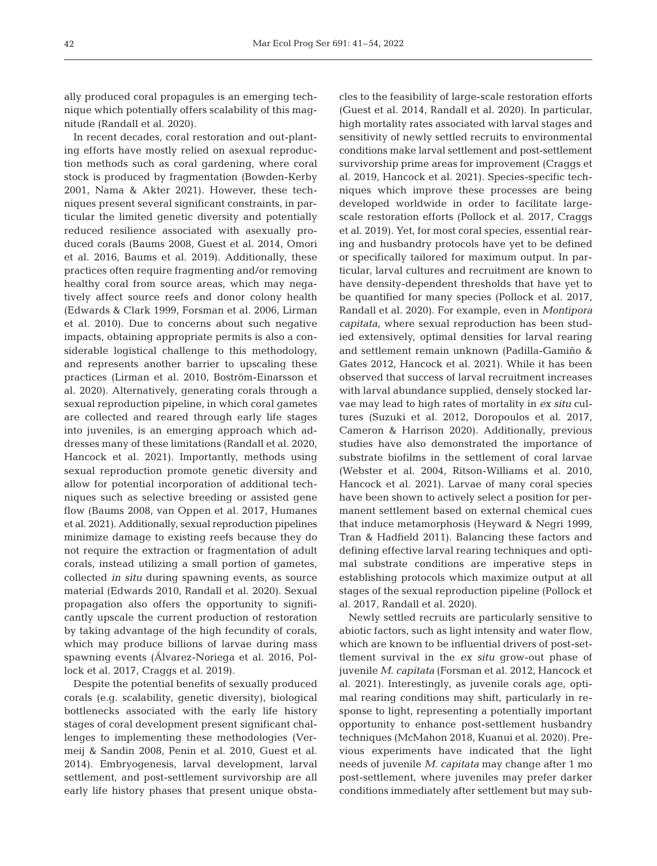ally produced coral propagules is an emerging technique which potentially offers scalability of this magnitude (Randall et al. 2020).

In recent decades, coral restoration and out-planting efforts have mostly relied on asexual reproduction methods such as coral gardening, where coral stock is produced by fragmentation (Bowden-Kerby 2001, Nama & Akter 2021). However, these techniques present several significant constraints, in particular the limited genetic diversity and potentially reduced resilience associated with asexually produced corals (Baums 2008, Guest et al. 2014, Omori et al. 2016, Baums et al. 2019). Additionally, these practices often require fragmenting and/or removing healthy coral from source areas, which may negatively affect source reefs and donor colony health (Edwards & Clark 1999, Forsman et al. 2006, Lirman et al. 2010). Due to concerns about such negative impacts, obtaining appropriate permits is also a considerable logistical challenge to this methodology, and represents another barrier to upscaling these practices (Lirman et al. 2010, Boström-Einarsson et al. 2020). Alternatively, generating corals through a sexual reproduction pipeline, in which coral gametes are collected and reared through early life stages into juveniles, is an emerging approach which addresses many of these limitations (Randall et al. 2020, Hancock et al. 2021). Importantly, methods using sexual reproduction promote genetic diversity and allow for potential incorporation of additional techniques such as selective breeding or assisted gene flow (Baums 2008, van Oppen et al. 2017, Humanes et al. 2021). Additionally, sexual reproduction pipelines minimize damage to existing reefs because they do not require the extraction or fragmentation of adult corals, instead utilizing a small portion of gametes, collected *in situ* during spawning events, as source material (Edwards 2010, Randall et al. 2020). Sexual propagation also offers the opportunity to significantly upscale the current production of restoration by taking advantage of the high fecundity of corals, which may produce billions of larvae during mass spawning events (Álvarez-Noriega et al. 2016, Pollock et al. 2017, Craggs et al. 2019).

Despite the potential benefits of sexually produced corals (e.g. scalability, genetic diversity), biological bottlenecks associated with the early life history stages of coral development present significant challenges to implementing these methodologies (Vermeij & Sandin 2008, Penin et al. 2010, Guest et al. 2014). Embryogenesis, larval development, larval settlement, and post-settlement survivorship are all early life history phases that present unique obstacles to the feasibility of large-scale restoration efforts (Guest et al. 2014, Randall et al. 2020). In particular, high mortality rates associated with larval stages and sensitivity of newly settled recruits to environmental conditions make larval settlement and post- settlement survivorship prime areas for improvement (Craggs et al. 2019, Hancock et al. 2021). Species-specific techniques which improve these processes are being developed worldwide in order to facilitate largescale restoration efforts (Pollock et al. 2017, Craggs et al. 2019). Yet, for most coral species, essential rearing and husbandry protocols have yet to be defined or specifically tailored for maximum output. In particular, larval cultures and recruitment are known to have density-dependent thresholds that have yet to be quantified for many species (Pollock et al. 2017, Randall et al. 2020). For example, even in *Montipora capitata,* where sexual reproduction has been studied extensively, optimal densities for larval rearing and settlement remain unknown (Padilla-Gamiño & Gates 2012, Hancock et al. 2021). While it has been observed that success of larval recruitment increases with larval abundance supplied, densely stocked larvae may lead to high rates of mortality in *ex situ* cultures (Suzuki et al. 2012, Doropoulos et al. 2017, Cameron & Harrison 2020). Additionally, previous studies have also demonstrated the importance of substrate biofilms in the settlement of coral larvae (Webster et al. 2004, Ritson-Williams et al. 2010, Hancock et al. 2021). Larvae of many coral species have been shown to actively select a position for permanent settlement based on external chemical cues that induce metamorphosis (Heyward & Negri 1999, Tran & Hadfield 2011). Balancing these factors and defining effective larval rearing techniques and optimal substrate conditions are imperative steps in establishing protocols which maximize output at all stages of the sexual reproduction pipeline (Pollock et al. 2017, Randall et al. 2020).

Newly settled recruits are particularly sensitive to abiotic factors, such as light intensity and water flow, which are known to be influential drivers of post-settlement survival in the *ex situ* grow-out phase of juvenile *M. capitata* (Forsman et al. 2012, Hancock et al. 2021). Interestingly, as juvenile corals age, optimal rearing conditions may shift, particularly in re sponse to light, representing a potentially important opportunity to enhance post-settlement husbandry techniques (McMahon 2018, Kuanui et al. 2020). Previous experiments have indicated that the light needs of juvenile *M. capitata* may change after 1 mo post-settlement, where juveniles may prefer darker conditions immediately after settlement but may sub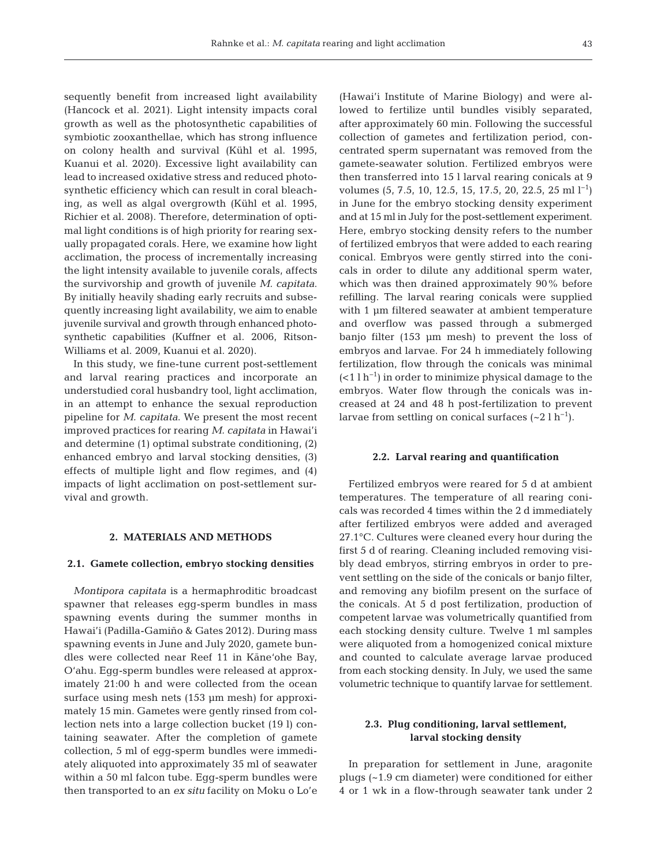sequently benefit from increased light availability (Hancock et al. 2021). Light intensity impacts coral growth as well as the photosynthetic capabilities of symbiotic zooxanthellae, which has strong influence on colony health and survival (Kühl et al. 1995, Kuanui et al. 2020). Excessive light availability can lead to increased oxidative stress and reduced photosynthetic efficiency which can result in coral bleaching, as well as algal overgrowth (Kühl et al. 1995, Richier et al. 2008). Therefore, determination of optimal light conditions is of high priority for rearing sexually propagated corals. Here, we examine how light acclimation, the process of incrementally increasing the light intensity available to juvenile corals, affects the survivorship and growth of juvenile *M. capitata*. By initially heavily shading early recruits and subsequently increasing light availability, we aim to enable juvenile survival and growth through enhanced photosynthetic capabilities (Kuffner et al. 2006, Ritson-Williams et al. 2009, Kuanui et al. 2020).

In this study, we fine-tune current post-settlement and larval rearing practices and incorporate an understudied coral husbandry tool, light acclimation, in an attempt to enhance the sexual reproduction pipeline for *M. capitata*. We present the most recent improved practices for rearing *M. capitata* in Hawai'i and determine (1) optimal substrate conditioning, (2) enhanced embryo and larval stocking densities, (3) effects of multiple light and flow regimes, and (4) impacts of light acclimation on post-settlement survival and growth.

## **2. MATERIALS AND METHODS**

#### **2.1. Gamete collection, embryo stocking densities**

*Montipora capitata* is a hermaphroditic broadcast spawner that releases egg-sperm bundles in mass spawning events during the summer months in Hawai'i (Padilla-Gamiño & Gates 2012). During mass spawning events in June and July 2020, gamete bundles were collected near Reef 11 in Kāne'ohe Bay, O'ahu. Egg-sperm bundles were released at approximately 21:00 h and were collected from the ocean surface using mesh nets (153 μm mesh) for approximately 15 min. Gametes were gently rinsed from collection nets into a large collection bucket (19 l) containing seawater. After the completion of gamete collection, 5 ml of egg-sperm bundles were immediately aliquoted into approximately 35 ml of seawater within a 50 ml falcon tube. Egg-sperm bundles were then transported to an *ex situ* facility on Moku o Lo'e

(Hawai'i Institute of Marine Biology) and were al lowed to fertilize until bundles visibly separated, after approximately 60 min. Following the successful collection of gametes and fertilization period, concentrated sperm supernatant was removed from the gamete-seawater solution. Fertilized embryos were then transferred into 15 l larval rearing conicals at 9 volumes (5, 7.5, 10, 12.5, 15, 17.5, 20, 22.5, 25 ml l−1) in June for the embryo stocking density experiment and at 15 ml in July for the post-settlement experiment. Here, embryo stocking density refers to the number of fertilized embryos that were added to each rearing conical. Embryos were gently stirred into the conicals in order to dilute any additional sperm water, which was then drained approximately 90% before refilling. The larval rearing conicals were supplied with 1 μm filtered seawater at ambient temperature and overflow was passed through a submerged banjo filter (153 μm mesh) to prevent the loss of embryos and larvae. For 24 h immediately following fertilization, flow through the conicals was minimal (<1 l h−1) in order to minimize physical damage to the embryos. Water flow through the conicals was increased at 24 and 48 h post-fertilization to prevent larvae from settling on conical surfaces  $({\sim}2 \, 1 \, h^{-1})$ .

#### **2.2. Larval rearing and quantification**

Fertilized embryos were reared for 5 d at ambient temperatures. The temperature of all rearing conicals was recorded 4 times within the 2 d immediately after fertilized embryos were added and averaged 27.1°C. Cultures were cleaned every hour during the first 5 d of rearing. Cleaning included removing visibly dead embryos, stirring embryos in order to prevent settling on the side of the conicals or banjo filter, and removing any biofilm present on the surface of the conicals. At 5 d post fertilization, production of competent larvae was volumetrically quantified from each stocking density culture. Twelve 1 ml samples were aliquoted from a homogenized conical mixture and counted to calculate average larvae produced from each stocking density. In July, we used the same volumetric technique to quantify larvae for settlement.

# **2.3. Plug conditioning, larval settlement, larval stocking density**

In preparation for settlement in June, aragonite plugs (~1.9 cm diameter) were conditioned for either 4 or 1 wk in a flow-through seawater tank under 2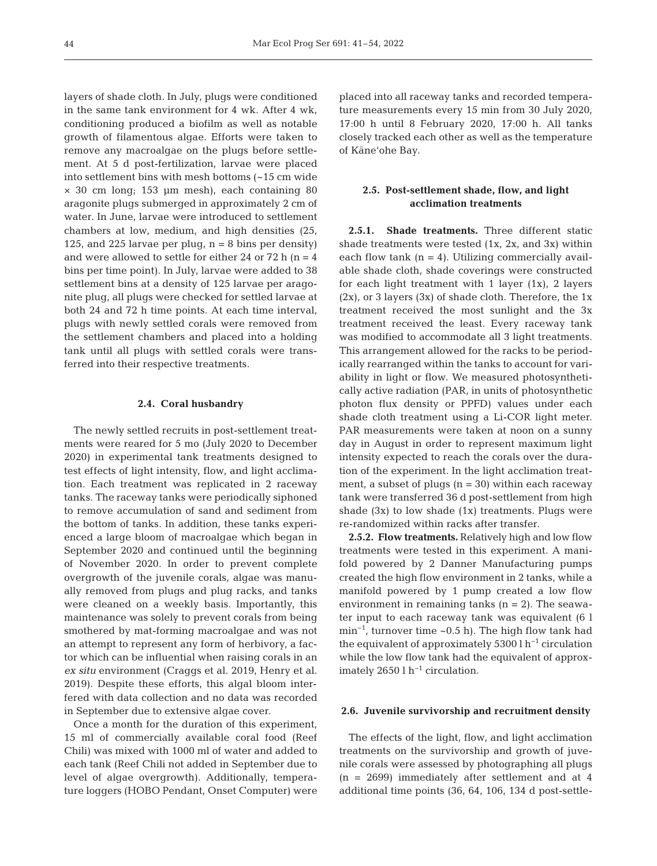layers of shade cloth. In July, plugs were conditioned in the same tank environment for 4 wk. After 4 wk, conditioning produced a biofilm as well as notable growth of filamentous algae. Efforts were taken to remove any macroalgae on the plugs before settlement. At 5 d post-fertilization, larvae were placed into settlement bins with mesh bottoms (~15 cm wide × 30 cm long; 153 μm mesh), each containing 80 aragonite plugs submerged in approximately 2 cm of water. In June, larvae were introduced to settlement chambers at low, medium, and high densities (25, 125, and 225 larvae per plug,  $n = 8$  bins per density) and were allowed to settle for either 24 or 72 h (n = 4  $\,$ bins per time point). In July, larvae were added to 38 settlement bins at a density of 125 larvae per aragonite plug, all plugs were checked for settled larvae at both 24 and 72 h time points. At each time interval, plugs with newly settled corals were removed from the settlement chambers and placed into a holding tank until all plugs with settled corals were transferred into their respective treatments.

#### **2.4. Coral husbandry**

The newly settled recruits in post-settlement treatments were reared for 5 mo (July 2020 to December 2020) in experimental tank treatments designed to test effects of light intensity, flow, and light acclimation. Each treatment was replicated in 2 raceway tanks. The raceway tanks were periodically siphoned to remove accumulation of sand and sediment from the bottom of tanks. In addition, these tanks experienced a large bloom of macroalgae which began in September 2020 and continued until the beginning of November 2020. In order to prevent complete overgrowth of the juvenile corals, algae was manually removed from plugs and plug racks, and tanks were cleaned on a weekly basis. Importantly, this maintenance was solely to prevent corals from being smothered by mat-forming macroalgae and was not an attempt to represent any form of herbivory, a factor which can be influential when raising corals in an *ex situ* environment (Craggs et al. 2019, Henry et al. 2019). Despite these efforts, this algal bloom interfered with data collection and no data was recorded in September due to extensive algae cover.

Once a month for the duration of this experiment, 15 ml of commercially available coral food (Reef Chili) was mixed with 1000 ml of water and added to each tank (Reef Chili not added in September due to level of algae overgrowth). Additionally, temperature loggers (HOBO Pendant, Onset Computer) were

placed into all raceway tanks and recorded temperature measurements every 15 min from 30 July 2020, 17:00 h until 8 February 2020, 17:00 h. All tanks closely tracked each other as well as the temperature of Kāne'ohe Bay.

# **2.5. Post-settlement shade, flow, and light acclimation treatments**

**2.5.1. Shade treatments.** Three different static shade treatments were tested (1x, 2x, and 3x) within each flow tank  $(n = 4)$ . Utilizing commercially available shade cloth, shade coverings were constructed for each light treatment with 1 layer (1x), 2 layers  $(2x)$ , or 3 layers  $(3x)$  of shade cloth. Therefore, the 1x treatment received the most sunlight and the 3x treatment received the least. Every raceway tank was modified to accommodate all 3 light treatments. This arrangement allowed for the racks to be periodically rearranged within the tanks to account for variability in light or flow. We measured photosynthetically active radiation (PAR, in units of photosynthetic photon flux density or PPFD) values under each shade cloth treatment using a Li-COR light meter. PAR measurements were taken at noon on a sunny day in August in order to represent maximum light intensity expected to reach the corals over the duration of the experiment. In the light acclimation treatment, a subset of plugs  $(n = 30)$  within each raceway tank were transferred 36 d post-settlement from high shade  $(3x)$  to low shade  $(1x)$  treatments. Plugs were re-randomized within racks after transfer.

**2.5.2. Flow treatments.** Relatively high and low flow treatments were tested in this experiment. A manifold powered by 2 Danner Manufacturing pumps created the high flow environment in 2 tanks, while a manifold powered by 1 pump created a low flow environment in remaining tanks  $(n = 2)$ . The seawater input to each raceway tank was equivalent (6 l min−1, turnover time ~0.5 h). The high flow tank had the equivalent of approximately 5300 l  $h^{-1}$  circulation while the low flow tank had the equivalent of approximately 2650 l h−1 circulation.

#### **2.6. Juvenile survivorship and recruitment density**

The effects of the light, flow, and light acclimation treatments on the survivorship and growth of juvenile corals were assessed by photographing all plugs (n = 2699) immediately after settlement and at 4 additional time points (36, 64, 106, 134 d post-settle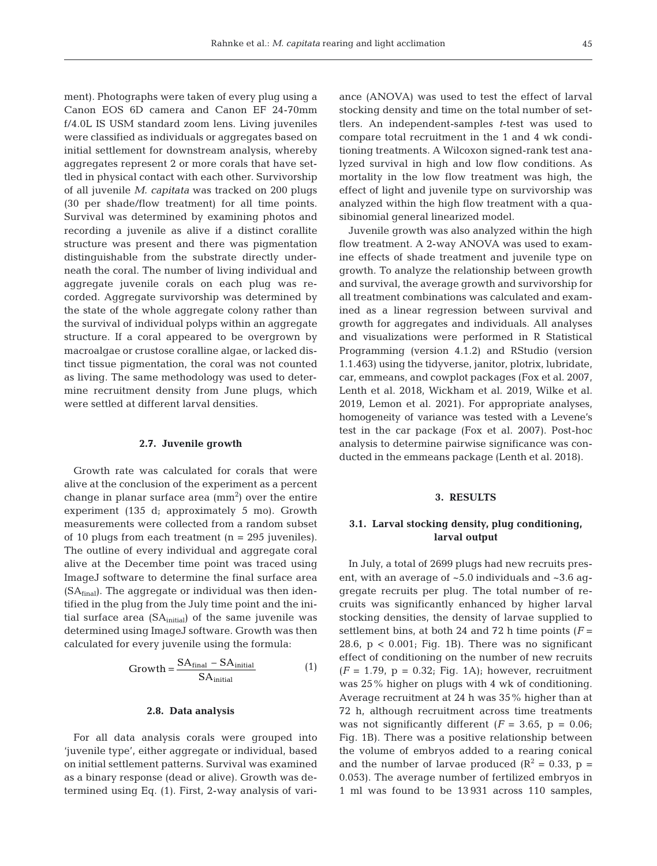ment). Photographs were taken of every plug using a Canon EOS 6D camera and Canon EF 24-70mm f/4.0L IS USM standard zoom lens. Living juveniles were classified as individuals or aggregates based on initial settlement for downstream analysis, whereby aggregates represent 2 or more corals that have settled in physical contact with each other. Survivorship of all juvenile *M. capitata* was tracked on 200 plugs (30 per shade/flow treatment) for all time points. Survival was determined by examining photos and re cording a juvenile as alive if a distinct corallite structure was present and there was pigmentation distinguishable from the substrate directly underneath the coral. The number of living individual and aggregate juvenile corals on each plug was re corded. Aggregate survivorship was determined by the state of the whole aggregate colony rather than the survival of individual polyps within an aggregate structure. If a coral appeared to be overgrown by macroalgae or crustose coralline algae, or lacked distinct tissue pigmentation, the coral was not counted as living. The same methodology was used to determine recruitment density from June plugs, which were settled at different larval densities.

#### **2.7. Juvenile growth**

Growth rate was calculated for corals that were alive at the conclusion of the experiment as a percent change in planar surface area  $\text{ (mm}^2)$  over the entire experiment (135 d; approximately 5 mo). Growth measurements were collected from a random subset of 10 plugs from each treatment (n = 295 juveniles). The outline of every individual and aggregate coral alive at the December time point was traced using ImageJ software to determine the final surface area  $(SA<sub>final</sub>)$ . The aggregate or individual was then identified in the plug from the July time point and the initial surface area  $(SA<sub>initial</sub>)$  of the same juvenile was determined using ImageJ software. Growth was then calculated for every juvenile using the formula:

$$
Growth = \frac{SA_{final} - SA_{initial}}{SA_{initial}}
$$
 (1)

#### **2.8. Data analysis**

For all data analysis corals were grouped into 'juvenile type', either aggregate or individual, based on initial settlement patterns. Survival was examined as a binary response (dead or alive). Growth was de termined using Eq. (1). First, 2-way analysis of variance (ANOVA) was used to test the effect of larval stocking density and time on the total number of settlers. An independent-samples *t*-test was used to compare total recruitment in the 1 and 4 wk conditioning treatments. A Wilcoxon signed-rank test analyzed survival in high and low flow conditions. As mortality in the low flow treatment was high, the effect of light and juvenile type on survivorship was analyzed within the high flow treatment with a quasibinomial general linearized model.

Juvenile growth was also analyzed within the high flow treatment. A 2-way ANOVA was used to examine effects of shade treatment and juvenile type on growth. To analyze the relationship between growth and survival, the average growth and survivorship for all treatment combinations was calculated and examined as a linear regression between survival and growth for aggregates and individuals. All analyses and visualizations were performed in R Statistical Programming (version 4.1.2) and RStudio (version 1.1.463) using the tidyverse, janitor, plotrix, lubridate, car, emmeans, and cowplot packages (Fox et al. 2007, Lenth et al. 2018, Wickham et al. 2019, Wilke et al. 2019, Lemon et al. 2021). For appropriate analyses, homogeneity of variance was tested with a Levene's test in the car package (Fox et al. 2007). Post-hoc analysis to determine pairwise significance was conducted in the emmeans package (Lenth et al. 2018).

#### **3. RESULTS**

# **3.1. Larval stocking density, plug conditioning, larval output**

In July, a total of 2699 plugs had new recruits present, with an average of  $~5.0$  individuals and  $~3.6$  aggregate recruits per plug. The total number of re cruits was significantly enhanced by higher larval stocking densities, the density of larvae supplied to settlement bins, at both 24 and 72 h time points  $(F =$ 28.6,  $p < 0.001$ ; Fig. 1B). There was no significant effect of conditioning on the number of new recruits  $(F = 1.79, p = 0.32; Fig. 1A)$ ; however, recruitment was 25% higher on plugs with 4 wk of conditioning. Average recruitment at 24 h was 35% higher than at 72 h, although recruitment across time treatments was not significantly different  $(F = 3.65, p = 0.06)$ ; Fig. 1B). There was a positive relationship between the volume of embryos added to a rearing conical and the number of larvae produced ( $\mathbb{R}^2 = 0.33$ , p = 0.053). The average number of fertilized embryos in 1 ml was found to be 13 931 across 110 samples,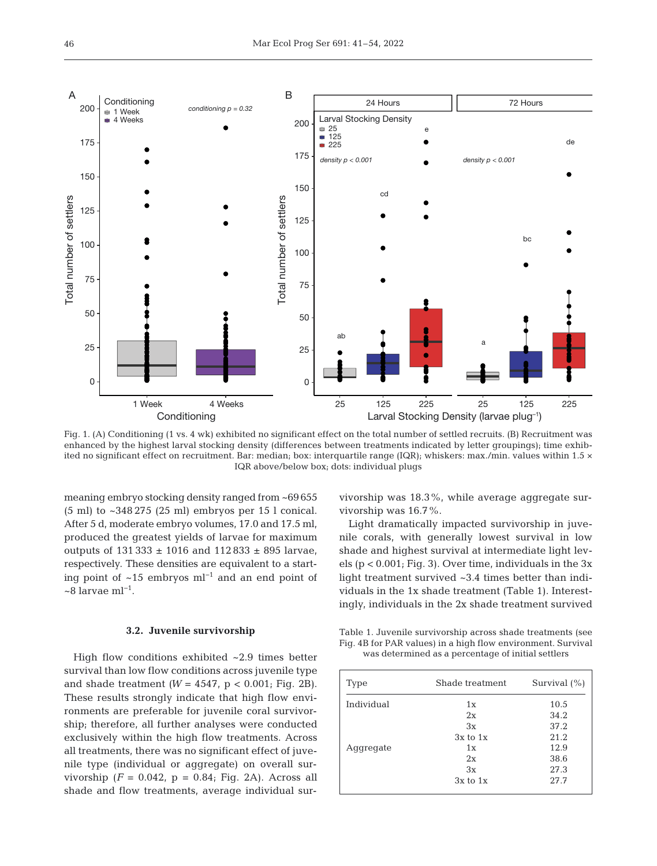

Fig. 1. (A) Conditioning (1 vs. 4 wk) exhibited no significant effect on the total number of settled recruits. (B) Recruitment was enhanced by the highest larval stocking density (differences between treatments indicated by letter groupings); time exhibited no significant effect on recruitment. Bar: median; box: interquartile range (IQR); whiskers: max./min. values within 1.5 × IQR above/below box; dots: individual plugs

meaning embryo stocking density ranged from ~69 655 (5 ml) to ~348 275 (25 ml) embryos per 15 l conical. After 5 d, moderate embryo volumes, 17.0 and 17.5 ml, produced the greatest yields of larvae for maximum outputs of  $131\,333 \pm 1016$  and  $112\,833 \pm 895$  larvae, respectively. These densities are equivalent to a starting point of ~15 embryos ml−1 and an end point of ~8 larvae ml−1.

#### **3.2. Juvenile survivorship**

High flow conditions exhibited ~2.9 times better survival than low flow conditions across juvenile type and shade treatment  $(W = 4547, p < 0.001$ ; Fig. 2B). These results strongly indicate that high flow environments are preferable for juvenile coral survivorship; therefore, all further analyses were conducted exclusively within the high flow treatments. Across all treatments, there was no significant effect of juvenile type (individual or aggregate) on overall survivorship  $(F = 0.042, p = 0.84; Fig. 2A)$ . Across all shade and flow treatments, average individual survivorship was 18.3%, while average aggregate survivorship was 16.7%.

Light dramatically impacted survivorship in juvenile corals, with generally lowest survival in low shade and highest survival at intermediate light levels (p < 0.001; Fig. 3). Over time, individuals in the 3x light treatment survived ~3.4 times better than individuals in the 1x shade treatment (Table 1). Interestingly, individuals in the 2x shade treatment survived

Table 1. Juvenile survivorship across shade treatments (see Fig. 4B for PAR values) in a high flow environment. Survival was determined as a percentage of initial settlers

| Type       | Shade treatment | Survival $(\% )$ |
|------------|-----------------|------------------|
| Individual | 1x              | 10.5             |
|            | 2x              | 34.2             |
|            | 3x              | 37.2             |
|            | $3x$ to $1x$    | 21.2             |
| Aggregate  | 1x              | 12.9             |
|            | 2x              | 38.6             |
|            | 3x              | 27.3             |
|            | $3x$ to $1x$    | 27.7             |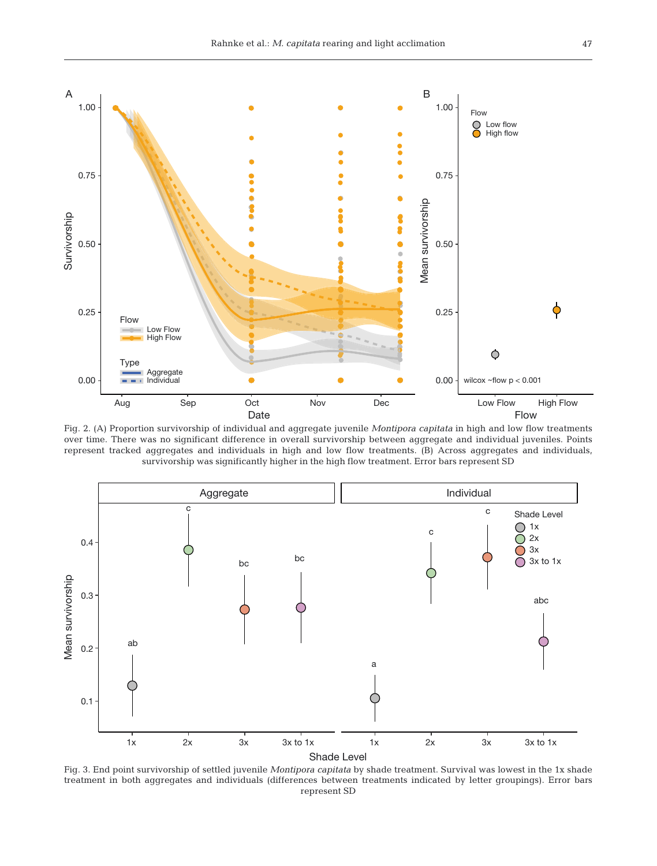

Fig. 2. (A) Proportion survivorship of individual and aggregate juvenile *Montipora capitata* in high and low flow treatments over time. There was no significant difference in overall survivorship between aggregate and individual juveniles. Points represent tracked aggregates and individuals in high and low flow treatments. (B) Across aggregates and individuals, survivorship was significantly higher in the high flow treatment. Error bars represent SD



Fig. 3. End point survivorship of settled juvenile *Montipora capitata* by shade treatment. Survival was lowest in the 1x shade treatment in both aggregates and individuals (differences between treatments indicated by letter groupings). Error bars represent SD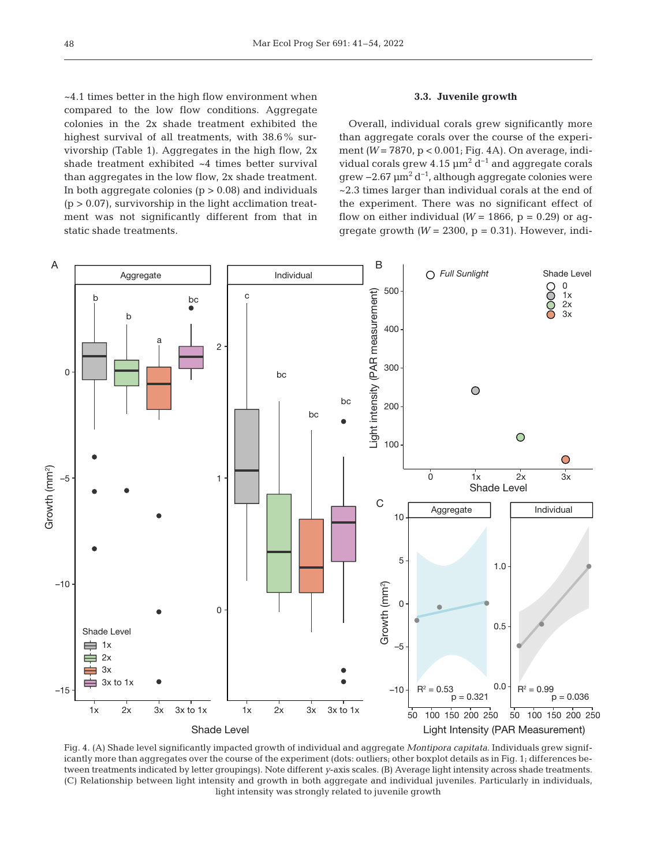~4.1 times better in the high flow environment when compared to the low flow conditions. Aggregate colonies in the 2x shade treatment exhibited the highest survival of all treatments, with 38.6% survivorship (Table 1). Aggregates in the high flow, 2x shade treatment exhibited ~4 times better survival than aggregates in the low flow, 2x shade treatment. In both aggregate colonies  $(p > 0.08)$  and individuals  $(p > 0.07)$ , survivorship in the light acclimation treatment was not significantly different from that in static shade treatments.

## **3.3. Juvenile growth**

Overall, individual corals grew significantly more than aggregate corals over the course of the experiment *(W = 7870, p < 0.001; Fig. 4A).* On average, individual corals grew  $4.15 \mu m^2 d^{-1}$  and aggregate corals grew −2.67  $\mu$ m<sup>2</sup> d<sup>−1</sup>, although aggregate colonies were ~2.3 times larger than individual corals at the end of the experiment. There was no significant effect of flow on either individual ( $W = 1866$ ,  $p = 0.29$ ) or aggregate growth  $(W = 2300, p = 0.31)$ . However, indi-



Fig. 4. (A) Shade level significantly impacted growth of individual and aggregate *Montipora capitata*. Individuals grew significantly more than aggregates over the course of the experiment (dots: outliers; other boxplot details as in Fig. 1; differences between treatments indicated by letter groupings). Note different *y*-axis scales. (B) Average light intensity across shade treatments. (C) Relationship between light intensity and growth in both aggregate and individual juveniles. Particularly in individuals, light intensity was strongly related to juvenile growth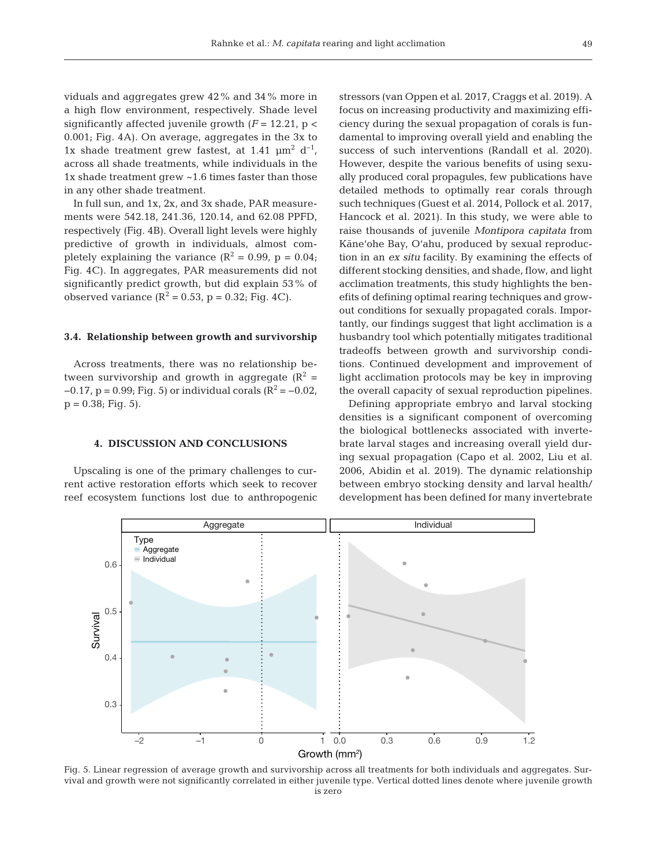viduals and aggregates grew 42% and 34% more in a high flow environment, respectively. Shade level significantly affected juvenile growth  $(F = 12.21, p <$ 0.001; Fig. 4A). On average, aggregates in the 3x to 1x shade treatment grew fastest, at 1.41  $\mu$ m<sup>2</sup> d<sup>-1</sup>, across all shade treatments, while individuals in the 1x shade treatment grew ~1.6 times faster than those in any other shade treatment.

In full sun, and 1x, 2x, and 3x shade, PAR measurements were 542.18, 241.36, 120.14, and 62.08 PPFD, respectively (Fig. 4B). Overall light levels were highly predictive of growth in individuals, almost completely explaining the variance  $(R^2 = 0.99, p = 0.04;$ Fig. 4C). In aggregates, PAR measurements did not significantly predict growth, but did explain 53% of observed variance  $(R^2 = 0.53, p = 0.32; Fig. 4C)$ .

#### **3.4. Relationship between growth and survivorship**

Across treatments, there was no relationship be tween survivorship and growth in aggregate ( $\mathbb{R}^2$  =  $-0.17$ , p = 0.99; Fig. 5) or individual corals ( $R^2 = -0.02$ ,  $p = 0.38$ ; Fig. 5).

## **4. DISCUSSION AND CONCLUSIONS**

Upscaling is one of the primary challenges to current active restoration efforts which seek to recover reef ecosystem functions lost due to anthropogenic stressors (van Oppen et al. 2017, Craggs et al. 2019). A focus on increasing productivity and maximizing efficiency during the sexual propagation of corals is fundamental to improving overall yield and enabling the success of such interventions (Randall et al. 2020). However, despite the various benefits of using sexually produced coral propagules, few publications have detailed methods to optimally rear corals through such techniques (Guest et al. 2014, Pollock et al. 2017, Hancock et al. 2021). In this study, we were able to raise thousands of juvenile *Montipora capitata* from Kāne'ohe Bay, O'ahu, produced by sexual reproduction in an *ex situ* facility. By examining the effects of different stocking densities, and shade, flow, and light acclimation treatments, this study highlights the benefits of defining optimal rearing techniques and growout conditions for sexually propagated corals. Importantly, our findings suggest that light acclimation is a husbandry tool which potentially mitigates traditional tradeoffs between growth and survivorship conditions. Continued development and improvement of light acclimation protocols may be key in improving the overall capacity of sexual reproduction pipelines.

Defining appropriate embryo and larval stocking densities is a significant component of overcoming the biological bottlenecks associated with invertebrate larval stages and increasing overall yield during sexual propagation (Capo et al. 2002, Liu et al. 2006, Abidin et al. 2019). The dynamic relationship between embryo stocking density and larval health/ development has been defined for many invertebrate



Fig. 5. Linear regression of average growth and survivorship across all treatments for both individuals and aggregates. Survival and growth were not significantly correlated in either juvenile type. Vertical dotted lines denote where juvenile growth is zero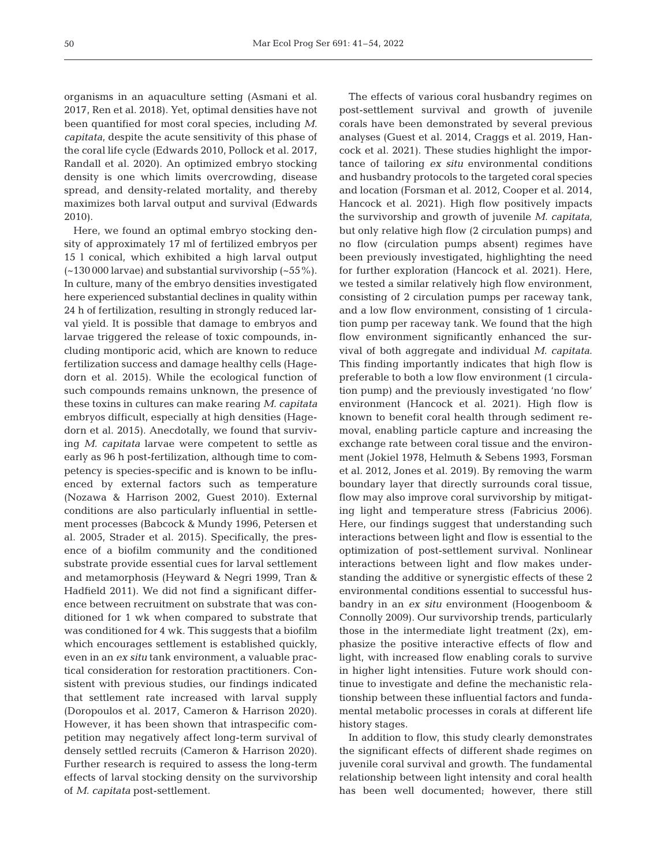organisms in an aquaculture setting (Asmani et al. 2017, Ren et al. 2018). Yet, optimal densities have not been quantified for most coral species, including *M. capitata*, despite the acute sensitivity of this phase of the coral life cycle (Edwards 2010, Pollock et al. 2017, Randall et al. 2020). An optimized embryo stocking density is one which limits overcrowding, disease spread, and density-related mortality, and thereby maximizes both larval output and survival (Edwards 2010).

Here, we found an optimal embryo stocking density of approximately 17 ml of fertilized embryos per 15 l conical, which exhibited a high larval output  $(-130000$  larvae) and substantial survivorship  $(-55\%)$ . In culture, many of the embryo densities investigated here experienced substantial declines in quality within 24 h of fertilization, resulting in strongly reduced larval yield. It is possible that damage to embryos and larvae triggered the release of toxic compounds, in cluding montiporic acid, which are known to reduce fertilization success and damage healthy cells (Hagedorn et al. 2015). While the ecological function of such compounds remains unknown, the presence of these toxins in cultures can make rearing *M. capitata* embryos difficult, especially at high densities (Hagedorn et al. 2015). Anecdotally, we found that surviving *M. capitata* larvae were competent to settle as early as 96 h post-fertilization, although time to competency is species-specific and is known to be influenced by external factors such as temperature (Nozawa & Harrison 2002, Guest 2010). External conditions are also particularly influential in settlement processes (Babcock & Mundy 1996, Petersen et al. 2005, Strader et al. 2015). Specifically, the presence of a biofilm community and the conditioned substrate provide essential cues for larval settlement and metamorphosis (Heyward & Negri 1999, Tran & Hadfield 2011). We did not find a significant difference between recruitment on substrate that was conditioned for 1 wk when compared to substrate that was conditioned for 4 wk. This suggests that a biofilm which encourages settlement is established quickly, even in an *ex situ* tank environment, a valuable practical consideration for restoration practitioners. Consistent with previous studies, our findings indicated that settlement rate increased with larval supply (Doropoulos et al. 2017, Cameron & Harrison 2020). However, it has been shown that intraspecific competition may negatively affect long-term survival of densely settled recruits (Cameron & Harrison 2020). Further research is required to assess the long-term effects of larval stocking density on the survivorship of *M. capitata* post-settlement.

The effects of various coral husbandry regimes on post-settlement survival and growth of juvenile corals have been demonstrated by several previous analyses (Guest et al. 2014, Craggs et al. 2019, Hancock et al. 2021). These studies highlight the importance of tailoring *ex situ* environmental conditions and husbandry protocols to the targeted coral species and location (Forsman et al. 2012, Cooper et al. 2014, Hancock et al. 2021). High flow positively impacts the survivorship and growth of juvenile *M. capitata*, but only relative high flow (2 circulation pumps) and no flow (circulation pumps absent) regimes have been previously investigated, highlighting the need for further exploration (Hancock et al. 2021). Here, we tested a similar relatively high flow environment, consisting of 2 circulation pumps per raceway tank, and a low flow environment, consisting of 1 circulation pump per raceway tank. We found that the high flow environment significantly enhanced the survival of both aggregate and individual *M. capitata*. This finding importantly indicates that high flow is preferable to both a low flow environment (1 circulation pump) and the previously investigated 'no flow' environment (Hancock et al. 2021). High flow is known to benefit coral health through sediment removal, enabling particle capture and increasing the exchange rate between coral tissue and the environment (Jokiel 1978, Helmuth & Sebens 1993, Forsman et al. 2012, Jones et al. 2019). By removing the warm boundary layer that directly surrounds coral tissue, flow may also improve coral survivorship by mitigating light and temperature stress (Fabricius 2006). Here, our findings suggest that understanding such interactions between light and flow is essential to the optimization of post-settlement survival. Nonlinear interactions between light and flow makes understanding the additive or synergistic effects of these 2 environmental conditions essential to successful husbandry in an *ex situ* environment (Hoogenboom & Connolly 2009). Our survivorship trends, particularly those in the intermediate light treatment  $(2x)$ , emphasize the positive interactive effects of flow and light, with increased flow enabling corals to survive in higher light intensities. Future work should continue to investigate and define the mechanistic relationship between these influential factors and fundamental metabolic processes in corals at different life history stages.

In addition to flow, this study clearly demonstrates the significant effects of different shade regimes on juvenile coral survival and growth. The fundamental relationship between light intensity and coral health has been well documented; however, there still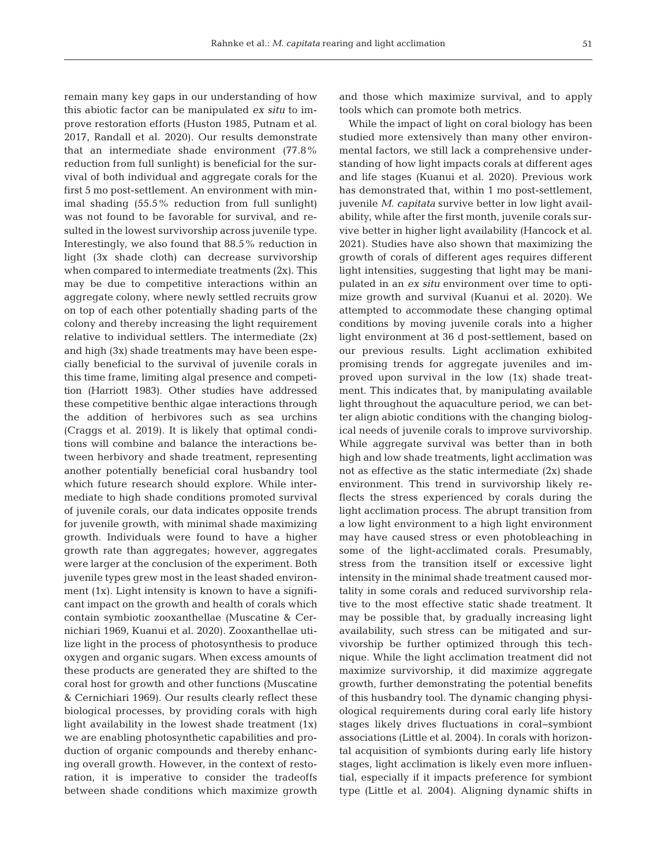remain many key gaps in our understanding of how this abiotic factor can be manipulated *ex situ* to im prove restoration efforts (Huston 1985, Putnam et al. 2017, Randall et al. 2020). Our results demonstrate that an intermediate shade environment  $(77.8\%)$ reduction from full sunlight) is beneficial for the survival of both individual and aggregate corals for the first 5 mo post-settlement. An environment with minimal shading (55.5% reduction from full sunlight) was not found to be favorable for survival, and resulted in the lowest survivorship across juvenile type. Interestingly, we also found that 88.5% reduction in light (3x shade cloth) can decrease survivorship when compared to intermediate treatments (2x). This may be due to competitive interactions within an aggregate colony, where newly settled recruits grow on top of each other potentially shading parts of the colony and thereby increasing the light requirement relative to individual settlers. The intermediate (2x) and high (3x) shade treatments may have been especially beneficial to the survival of juvenile corals in this time frame, limiting algal presence and competition (Harriott 1983). Other studies have addressed these competitive benthic algae interactions through the addition of herbivores such as sea urchins (Craggs et al. 2019). It is likely that optimal conditions will combine and balance the interactions be tween herbivory and shade treatment, representing another potentially beneficial coral husbandry tool which future research should explore. While intermediate to high shade conditions promoted survival of juvenile corals, our data indicates opposite trends for juvenile growth, with minimal shade maximizing growth. Individuals were found to have a higher growth rate than aggregates; however, aggregates were larger at the conclusion of the experiment. Both juvenile types grew most in the least shaded environment (1x). Light intensity is known to have a significant impact on the growth and health of corals which contain symbiotic zooxanthellae (Muscatine & Cernichiari 1969, Kuanui et al. 2020). Zooxanthellae utilize light in the process of photosynthesis to produce oxygen and organic sugars. When excess amounts of these products are generated they are shifted to the coral host for growth and other functions (Muscatine & Cernichiari 1969). Our results clearly reflect these biological processes, by providing corals with high light availability in the lowest shade treatment (1x) we are enabling photosynthetic capabilities and production of organic compounds and thereby enhancing overall growth. However, in the context of restoration, it is imperative to consider the tradeoffs be tween shade conditions which maximize growth

and those which maximize survival, and to apply tools which can promote both metrics.

While the impact of light on coral biology has been studied more extensively than many other environmental factors, we still lack a comprehensive understanding of how light impacts corals at different ages and life stages (Kuanui et al. 2020). Previous work has demonstrated that, within 1 mo post-settlement, juvenile *M. capitata* survive better in low light availability, while after the first month, juvenile corals survive better in higher light availability (Hancock et al. 2021). Studies have also shown that maximizing the growth of corals of different ages requires different light intensities, suggesting that light may be manipulated in an *ex situ* environment over time to optimize growth and survival (Kuanui et al. 2020). We attempted to accommodate these changing optimal conditions by moving juvenile corals into a higher light environment at 36 d post-settlement, based on our previous results. Light acclimation exhibited promising trends for aggregate juveniles and im proved upon survival in the low (1x) shade treatment. This indicates that, by manipulating available light throughout the aquaculture period, we can better align abiotic conditions with the changing biological needs of juvenile corals to improve survivorship. While aggregate survival was better than in both high and low shade treatments, light acclimation was not as effective as the static intermediate (2x) shade environment. This trend in survivorship likely reflects the stress experienced by corals during the light acclimation process. The abrupt transition from a low light environment to a high light environment may have caused stress or even photobleaching in some of the light-acclimated corals. Presumably, stress from the transition itself or excessive light intensity in the minimal shade treatment caused mortality in some corals and reduced survivorship relative to the most effective static shade treatment. It may be possible that, by gradually increasing light availability, such stress can be mitigated and survivorship be further optimized through this technique. While the light acclimation treatment did not maximize survivorship, it did maximize aggregate growth, further demonstrating the potential benefits of this husbandry tool. The dynamic changing physiological requirements during coral early life history stages likely drives fluctuations in coral−symbiont associations (Little et al. 2004). In corals with horizontal acquisition of symbionts during early life history stages, light acclimation is likely even more influential, especially if it impacts preference for symbiont type (Little et al. 2004). Aligning dynamic shifts in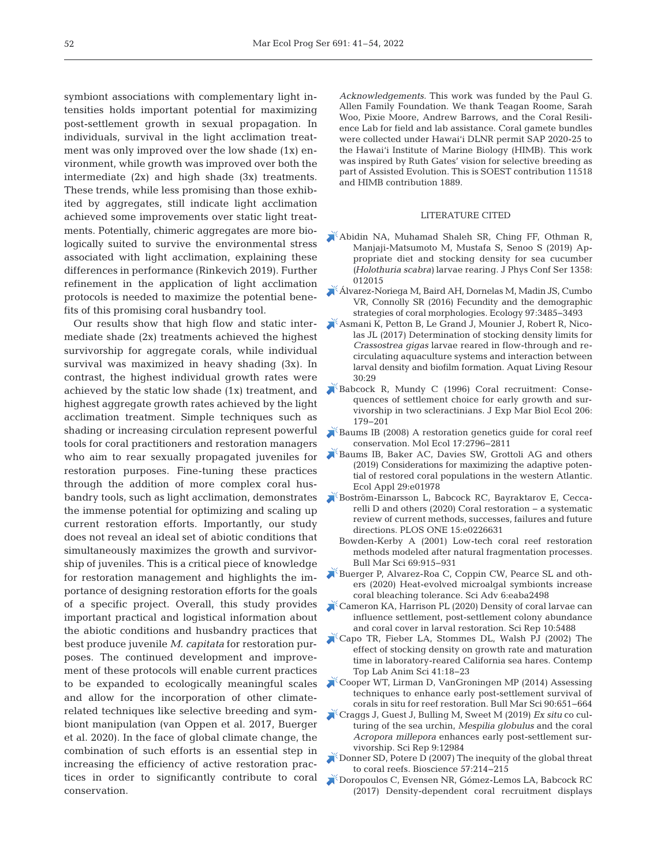symbiont associations with complementary light intensities holds important potential for maximizing post-settlement growth in sexual propagation. In individuals, survival in the light acclimation treatment was only improved over the low shade (1x) environment, while growth was improved over both the intermediate (2x) and high shade (3x) treatments. These trends, while less promising than those exhibited by aggregates, still indicate light acclimation achieved some improvements over static light treatments. Potentially, chimeric aggregates are more biologically suited to survive the environmental stress associated with light acclimation, explaining these differences in performance (Rinkevich 2019). Further refinement in the application of light acclimation protocols is needed to maximize the potential benefits of this promising coral husbandry tool.

Our results show that high flow and static intermediate shade (2x) treatments achieved the highest survivorship for aggregate corals, while individual survival was maximized in heavy shading (3x). In contrast, the highest individual growth rates were achieved by the static low shade (1x) treatment, and highest aggregate growth rates achieved by the light acclimation treatment. Simple techniques such as shading or increasing circulation represent powerful tools for coral practitioners and restoration managers who aim to rear sexually propagated juveniles for restoration purposes. Fine-tuning these practices through the addition of more complex coral husbandry tools, such as light acclimation, demonstrates the immense potential for optimizing and scaling up current restoration efforts. Importantly, our study does not reveal an ideal set of abiotic conditions that simultaneously maximizes the growth and survivorship of juveniles. This is a critical piece of knowledge for restoration management and highlights the importance of designing restoration efforts for the goals of a specific project. Overall, this study provides important practical and logistical information about the abiotic conditions and husbandry practices that best produce juvenile *M. capitata* for restoration purposes. The continued development and improvement of these protocols will enable current practices to be expanded to ecologically meaningful scales and allow for the incorporation of other climaterelated techniques like selective breeding and symbiont manipulation (van Oppen et al. 2017, Buerger et al. 2020). In the face of global climate change, the combination of such efforts is an essential step in increasing the efficiency of active restoration practices in order to significantly contribute to coral conservation.

*Acknowledgements.* This work was funded by the Paul G. Allen Family Foundation. We thank Teagan Roome, Sarah Woo, Pixie Moore, Andrew Barrows, and the Coral Resilience Lab for field and lab assistance. Coral gamete bundles were collected under Hawai'i DLNR permit SAP 2020-25 to the Hawai'i Institute of Marine Biology (HIMB). This work was inspired by Ruth Gates' vision for selective breeding as part of Assisted Evolution. This is SOEST contribution 11518 and HIMB contribution 1889.

## LITERATURE CITED

- [Abidin NA, Muhamad Shaleh SR, Ching FF, Othman R,](https://doi.org/10.1088/1742-6596/1358/1/012015)  Manjaji-Matsumoto M, Mustafa S, Senoo S (2019) Ap propriate diet and stocking density for sea cucumber *(Holothuria scabra)* larvae rearing. J Phys Conf Ser 1358: 012015
- [Álvarez-Noriega M, Baird AH, Dornelas M, Madin JS, Cumbo](https://doi.org/10.1002/ecy.1588)  VR, Connolly SR (2016) Fecundity and the demographic strategies of coral morphologies. Ecology 97: 3485−3493
- [Asmani K, Petton B, Le Grand J, Mounier J, Robert R, Nico](https://doi.org/10.1051/alr/2017023)las JL (2017) Determination of stocking density limits for *Crassostrea gigas* larvae reared in flow-through and re circulating aquaculture systems and interaction between larval density and biofilm formation. Aquat Living Resour  $30:29$
- Babcock R, Mundy C (1996) Coral recruitment: Consequences of settlement choice for early growth and survivorship in two scleractinians. J Exp Mar Biol Ecol 206: 179−201
- Baums IB (2008) A restoration genetics guide for coral reef conservation. Mol Ecol 17: 2796−2811
- [Baums IB, Baker AC, Davies SW, Grottoli AG and others](https://doi.org/10.1002/eap.1978)  (2019) Considerations for maximizing the adaptive potential of restored coral populations in the western Atlantic. Ecol Appl 29:e01978
- [Boström-Einarsson L, Babcock RC, Bayraktarov E, Cecca](https://doi.org/10.1371/journal.pone.0226631)relli D and others (2020) Coral restoration − a systematic review of current methods, successes, failures and future directions. PLOS ONE 15:e0226631
	- Bowden-Kerby A (2001) Low-tech coral reef restoration methods modeled after natural fragmentation processes. Bull Mar Sci 69:915-931
- [Buerger P, Alvarez-Roa C, Coppin CW, Pearce SL and oth](https://doi.org/10.1126/sciadv.aba2498)ers (2020) Heat-evolved microalgal symbionts increase coral bleaching tolerance. Sci Adv 6:eaba2498
- [Cameron KA, Harrison PL \(2020\) Density of coral larvae can](https://doi.org/10.1038/s41598-020-62366-4)  influence settlement, post-settlement colony abundance and coral cover in larval restoration. Sci Rep 10:5488
- [Capo TR, Fieber LA, Stommes DL, Walsh PJ \(2002\) The](https://pubmed.ncbi.nlm.nih.gov/12456154)  effect of stocking density on growth rate and maturation time in laboratory-reared California sea hares. Contemp Top Lab Anim Sci 41: 18−23
- [Cooper WT, Lirman D, VanGroningen MP \(2014\) Assessing](https://doi.org/10.5343/bms.2013.1020)  techniques to enhance early post-settlement survival of corals in situ for reef restoration. Bull Mar Sci 90:651-664
- [Craggs J, Guest J, Bulling M, Sweet M \(2019\)](https://doi.org/10.1038/s41598-019-49447-9) *Ex situ* co culturing of the sea urchin, *Mespilia globulus* and the coral *Acropora millepora* enhances early post-settlement survivorship. Sci Rep 9: 12984
- [Donner SD, Potere D \(2007\) The inequity of the global threat](https://doi.org/10.1641/B570302)  to coral reefs. Bioscience 57: 214−215
- [Doropoulos C, Evensen NR, Gómez-Lemos LA, Babcock RC](https://doi.org/10.1098/rsos.170082)  (2017) Density-dependent coral recruitment displays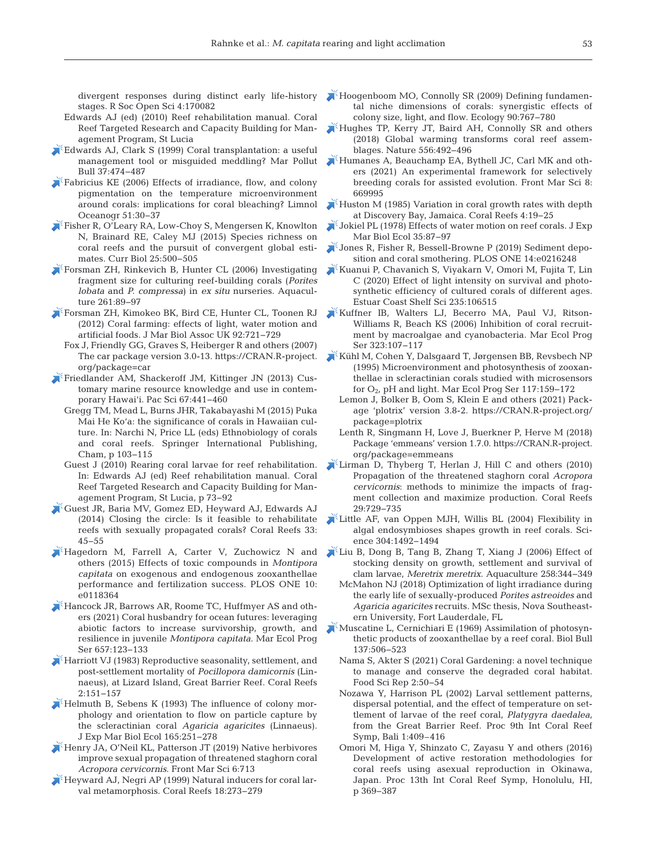divergent responses during distinct early life-history stages. R Soc Open Sci 4: 170082

- Edwards AJ (ed) (2010) Reef rehabilitation manual. Coral Reef Targeted Research and Capacity Building for Management Program, St Lucia
- [Edwards AJ, Clark S \(1999\) Coral transplantation:a useful](https://doi.org/10.1016/S0025-326X(99)00145-9)  management tool or misguided meddling? Mar Pollut Bull 37:474-487
- [Fabricius KE \(2006\) Effects of irradiance, flow, and colony](https://doi.org/10.4319/lo.2006.51.1.0030)  pigmentation on the temperature microenvironment around corals: implications for coral bleaching? Limnol Oceanogr 51:30-37
- [Fisher R, O'Leary RA, Low-Choy S, Mengersen K, Knowlton](https://doi.org/10.1016/j.cub.2014.12.022)  N, Brainard RE, Caley MJ (2015) Species richness on coral reefs and the pursuit of convergent global estimates. Curr Biol 25:500-505
- [Forsman ZH, Rinkevich B, Hunter CL \(2006\) Investigating](https://doi.org/10.1016/j.aquaculture.2006.06.040)  fragment size for culturing reef-building corals (*Porites lobata* and *P. compressa*) in *ex situ* nurseries. Aquaculture 261:89-97
- [Forsman ZH, Kimokeo BK, Bird CE, Hunter CL, Toonen RJ](https://doi.org/10.1017/S0025315411001500)   $(2012)$  Coral farming: effects of light, water motion and artificial foods. J Mar Biol Assoc UK 92:721-729
	- Fox J, Friendly GG, Graves S, Heiberger R and others (2007) The car package version 3.0-13. https://CRAN.R-project. org/package=car
- [Friedlander AM, Shackeroff JM, Kittinger JN \(2013\) Cus](https://doi.org/10.2984/67.3.10)tomary marine resource knowledge and use in contemporary Hawai'i. Pac Sci 67: 441−460
	- Gregg TM, Mead L, Burns JHR, Takabayashi M (2015) Puka Mai He Ko'a: the significance of corals in Hawaiian culture. In: Narchi N, Price LL (eds) Ethnobiology of corals and coral reefs. Springer International Publishing, Cham, p 103−115
	- Guest J (2010) Rearing coral larvae for reef rehabilitation. In:Edwards AJ (ed) Reef rehabilitation manual. Coral Reef Targeted Research and Capacity Building for Management Program, St Lucia, p 73−92
- [Guest JR, Baria MV, Gomez ED, Heyward AJ, Edwards AJ](https://doi.org/10.1007/s00338-013-1114-1)   $(2014)$  Closing the circle: Is it feasible to rehabilitate reefs with sexually propagated corals? Coral Reefs 33: 45−55
- [Hagedorn M, Farrell A, Carter V, Zuchowicz N and](https://doi.org/10.1371/journal.pone.0118364)  others (2015) Effects of toxic compounds in *Montipora capitata* on exogenous and endogenous zooxanthellae performance and fertilization success. PLOS ONE 10: e0118364
- [Hancock JR, Barrows AR, Roome TC, Huffmyer AS and oth](https://doi.org/10.3354/meps13534)ers (2021) Coral husbandry for ocean futures: leveraging abiotic factors to increase survivorship, growth, and resilience in juvenile *Montipora capitata*. Mar Ecol Prog Ser 657: 123−133
- $\mathbb K$  Harriott VJ (1983) Reproductive seasonality, settlement, and post-settlement mortality of *Pocillopora damicornis* (Linnaeus), at Lizard Island, Great Barrier Reef. Coral Reefs 2: 151−157
- $\blacktriangleright$  [Helmuth B, Sebens K \(1993\) The influence of colony mor](https://doi.org/10.1016/0022-0981(93)90109-2)phology and orientation to flow on particle capture by the scleractinian coral *Agaricia agaricites* (Linnaeus). J Exp Mar Biol Ecol 165: 251−278
- [Henry JA, O'Neil KL, Patterson JT \(2019\) Native herbivores](https://doi.org/10.3389/fmars.2019.00713)  improve sexual propagation of threatened staghorn coral Acropora cervicornis. Front Mar Sci 6:713
- [Heyward AJ, Negri AP \(1999\) Natural inducers for coral lar](https://doi.org/10.1007/s003380050193)val metamorphosis. Coral Reefs 18:273-279
- [Hoogenboom MO, Connolly SR \(2009\) Defining fundamen](https://doi.org/10.1890/07-2010.1)tal niche dimensions of corals: synergistic effects of colony size, light, and flow. Ecology 90:767-780
- [Hughes TP, Kerry JT, Baird AH, Connolly SR and others](https://doi.org/10.1038/s41586-018-0041-2)  (2018) Global warming transforms coral reef assemblages. Nature 556: 492−496
- [Humanes A, Beauchamp EA, Bythell JC, Carl MK and oth](https://doi.org/10.3389/fmars.2021.669995)ers (2021) An experimental framework for selectively breeding corals for assisted evolution. Front Mar Sci 8: 669995
- [Huston M \(1985\) Variation in coral growth rates with depth](https://doi.org/10.1007/BF00302200)  at Discovery Bay, Jamaica. Coral Reefs 4: 19−25
- [Jokiel PL \(1978\) Effects of water motion on reef corals. J Exp](https://doi.org/10.1016/0022-0981(78)90092-8)  Mar Biol Ecol 35: 87−97
- [Jones R, Fisher R, Bessell-Browne P \(2019\) Sediment depo](https://doi.org/10.1371/journal.pone.0216248)sition and coral smothering. PLOS ONE 14:e0216248
- [Kuanui P, Chavanich S, Viyakarn V, Omori M, Fujita T, Lin](https://doi.org/10.1016/j.ecss.2019.106515)  C (2020) Effect of light intensity on survival and photosynthetic efficiency of cultured corals of different ages. Estuar Coast Shelf Sci 235: 106515
- [Kuffner IB, Walters LJ, Becerro MA, Paul VJ, Ritson-](https://doi.org/10.3354/meps323107)Williams R, Beach KS (2006) Inhibition of coral recruitment by macroalgae and cyanobacteria. Mar Ecol Prog Ser 323: 107−117
- [Kühl M, Cohen Y, Dalsgaard T, Jørgensen BB, Revsbech NP](https://doi.org/10.3354/meps117159)  (1995) Microenvironment and photosynthesis of zooxanthellae in scleractinian corals studied with microsensors for O2, pH and light. Mar Ecol Prog Ser 117: 159−172
	- Lemon J, Bolker B, Oom S, Klein E and others (2021) Package 'plotrix' version 3.8-2. https://CRAN.R-project.org/ package=plotrix
	- Lenth R, Singmann H, Love J, Buerkner P, Herve M (2018) Package 'emmeans' version 1.7.0. https://CRAN.R-project. org/package=emmeans
- [Lirman D, Thyberg T, Herlan J, Hill C and others \(2010\)](https://doi.org/10.1007/s00338-010-0621-6)  Propagation of the threatened staghorn coral *Acropora cervicornis*: methods to minimize the impacts of fragment collection and maximize production. Coral Reefs 29: 729−735
- [Little AF, van Oppen MJH, Willis BL \(2004\) Flexibility in](https://doi.org/10.1126/science.1095733)  algal endosymbioses shapes growth in reef corals. Science 304: 1492−1494
- [Liu B, Dong B, Tang B, Zhang T, Xiang J \(2006\) Effect of](https://doi.org/10.1016/j.aquaculture.2006.03.047)  stocking density on growth, settlement and survival of clam larvae, *Meretrix meretrix*. Aquaculture 258: 344−349
	- McMahon NJ (2018) Optimization of light irradiance during the early life of sexually-produced *Porites astreoides* and *Agaricia agaricites* recruits. MSc thesis, Nova Southeastern University, Fort Lauderdale, FL
- [Muscatine L, Cernichiari E \(1969\) Assimilation of photosyn](https://doi.org/10.2307/1540172)thetic products of zooxanthellae by a reef coral. Biol Bull 137: 506−523
	- Nama S, Akter S (2021) Coral Gardening: a novel technique to manage and conserve the degraded coral habitat. Food Sci Rep 2: 50−54
	- Nozawa Y, Harrison PL (2002) Larval settlement patterns, dispersal potential, and the effect of temperature on settlement of larvae of the reef coral, *Platygyra daedalea*, from the Great Barrier Reef. Proc 9th Int Coral Reef Symp, Bali 1:409–416
	- Omori M, Higa Y, Shinzato C, Zayasu Y and others (2016) Development of active restoration methodologies for coral reefs using asexual reproduction in Okinawa, Japan. Proc 13th Int Coral Reef Symp, Honolulu, HI, p 369−387